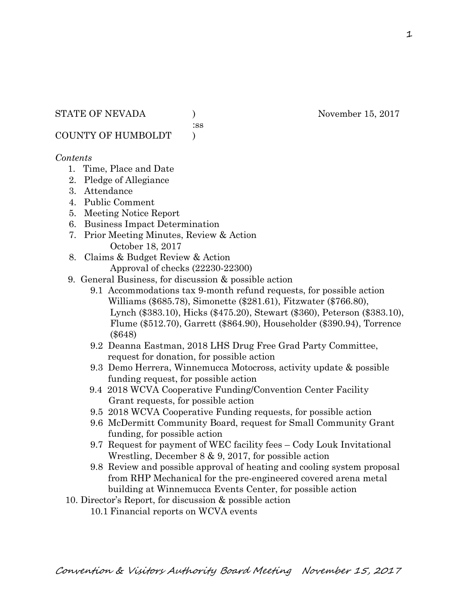:ss

COUNTY OF HUMBOLDT )

# *Contents*

- 1. Time, Place and Date
- 2. Pledge of Allegiance
- 3. Attendance
- 4. Public Comment
- 5. Meeting Notice Report
- 6. Business Impact Determination
- 7. Prior Meeting Minutes, Review & Action October 18, 2017
- 8. Claims & Budget Review & Action
	- Approval of checks (22230-22300)
- 9. General Business, for discussion & possible action
	- 9.1 Accommodations tax 9-month refund requests, for possible action Williams (\$685.78), Simonette (\$281.61), Fitzwater (\$766.80), Lynch (\$383.10), Hicks (\$475.20), Stewart (\$360), Peterson (\$383.10), Flume (\$512.70), Garrett (\$864.90), Householder (\$390.94), Torrence (\$648)
	- 9.2 Deanna Eastman, 2018 LHS Drug Free Grad Party Committee, request for donation, for possible action
	- 9.3 Demo Herrera, Winnemucca Motocross, activity update & possible funding request, for possible action
	- 9.4 2018 WCVA Cooperative Funding/Convention Center Facility Grant requests, for possible action
	- 9.5 2018 WCVA Cooperative Funding requests, for possible action
	- 9.6 McDermitt Community Board, request for Small Community Grant funding, for possible action
	- 9.7 Request for payment of WEC facility fees Cody Louk Invitational Wrestling, December 8 & 9, 2017, for possible action
	- 9.8 Review and possible approval of heating and cooling system proposal from RHP Mechanical for the pre-engineered covered arena metal building at Winnemucca Events Center, for possible action
- 10. Director's Report, for discussion & possible action
	- 10.1 Financial reports on WCVA events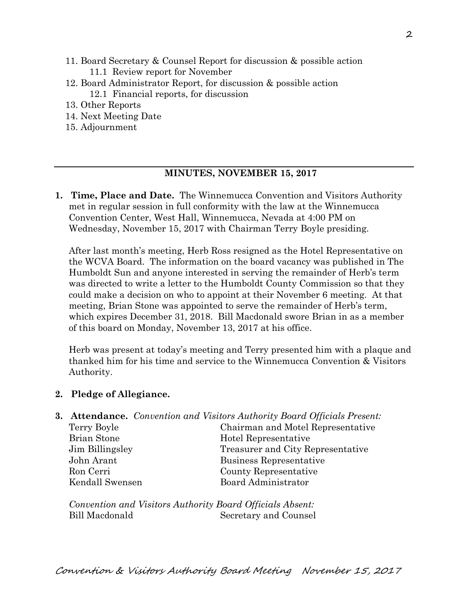- 11. Board Secretary & Counsel Report for discussion & possible action 11.1 Review report for November
- 12. Board Administrator Report, for discussion & possible action 12.1 Financial reports, for discussion
- 13. Other Reports
- 14. Next Meeting Date
- 15. Adjournment

## **MINUTES, NOVEMBER 15, 2017**

**1. Time, Place and Date.** The Winnemucca Convention and Visitors Authority met in regular session in full conformity with the law at the Winnemucca Convention Center, West Hall, Winnemucca, Nevada at 4:00 PM on Wednesday, November 15, 2017 with Chairman Terry Boyle presiding.

After last month's meeting, Herb Ross resigned as the Hotel Representative on the WCVA Board. The information on the board vacancy was published in The Humboldt Sun and anyone interested in serving the remainder of Herb's term was directed to write a letter to the Humboldt County Commission so that they could make a decision on who to appoint at their November 6 meeting. At that meeting, Brian Stone was appointed to serve the remainder of Herb's term, which expires December 31, 2018. Bill Macdonald swore Brian in as a member of this board on Monday, November 13, 2017 at his office.

Herb was present at today's meeting and Terry presented him with a plaque and thanked him for his time and service to the Winnemucca Convention & Visitors Authority.

## **2. Pledge of Allegiance.**

## **3. Attendance.** *Convention and Visitors Authority Board Officials Present:*  Terry Boyle Chairman and Motel Representative

Brian Stone Hotel Representative Jim Billingsley Treasurer and City Representative John Arant Business Representative Ron Cerri County Representative Kendall Swensen Board Administrator

*Convention and Visitors Authority Board Officials Absent:*  Bill Macdonald Secretary and Counsel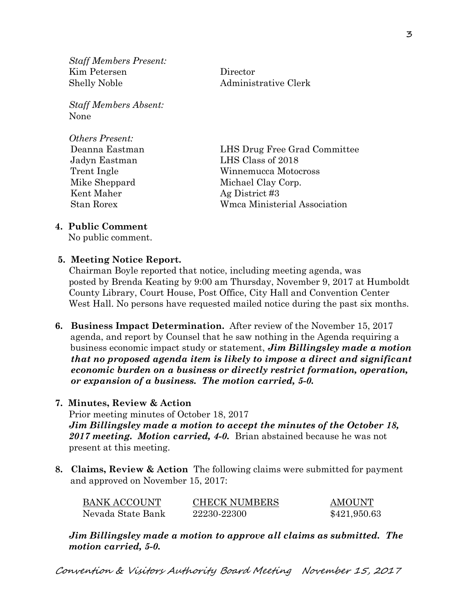*Staff Members Present:*  Kim Petersen Director Shelly Noble Administrative Clerk

*Staff Members Absent:*  None

*Others Present:*  Kent Maher Ag District #3

 Deanna Eastman LHS Drug Free Grad Committee Jadyn Eastman LHS Class of 2018 Trent Ingle Winnemucca Motocross Mike Sheppard Michael Clay Corp. Stan Rorex Wmca Ministerial Association

# **4. Public Comment**

No public comment.

# **5. Meeting Notice Report.**

Chairman Boyle reported that notice, including meeting agenda, was posted by Brenda Keating by 9:00 am Thursday, November 9, 2017 at Humboldt County Library, Court House, Post Office, City Hall and Convention Center West Hall. No persons have requested mailed notice during the past six months.

- **6. Business Impact Determination.** After review of the November 15, 2017 agenda, and report by Counsel that he saw nothing in the Agenda requiring a business economic impact study or statement, *Jim Billingsley made a motion that no proposed agenda item is likely to impose a direct and significant economic burden on a business or directly restrict formation, operation, or expansion of a business. The motion carried, 5-0.*
- **7. Minutes, Review & Action**

Prior meeting minutes of October 18, 2017 *Jim Billingsley made a motion to accept the minutes of the October 18, 2017 meeting. Motion carried, 4-0.* Brian abstained because he was not present at this meeting.

**8. Claims, Review & Action** The following claims were submitted for payment and approved on November 15, 2017:

| <b>BANK ACCOUNT</b> | <b>CHECK NUMBERS</b> | AMOUNT       |
|---------------------|----------------------|--------------|
| Nevada State Bank   | 22230-22300          | \$421,950.63 |

*Jim Billingsley made a motion to approve all claims as submitted. The motion carried, 5-0.*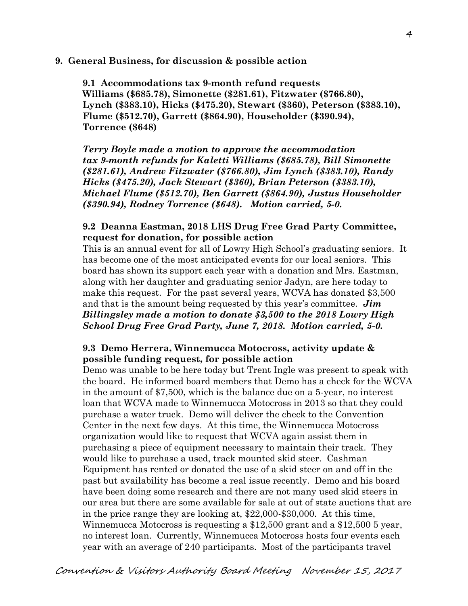## **9. General Business, for discussion & possible action**

**9.1 Accommodations tax 9-month refund requests Williams (\$685.78), Simonette (\$281.61), Fitzwater (\$766.80), Lynch (\$383.10), Hicks (\$475.20), Stewart (\$360), Peterson (\$383.10), Flume (\$512.70), Garrett (\$864.90), Householder (\$390.94), Torrence (\$648)** 

*Terry Boyle made a motion to approve the accommodation tax 9-month refunds for Kaletti Williams (\$685.78), Bill Simonette (\$281.61), Andrew Fitzwater (\$766.80), Jim Lynch (\$383.10), Randy Hicks (\$475.20), Jack Stewart (\$360), Brian Peterson (\$383.10), Michael Flume (\$512.70), Ben Garrett (\$864.90), Justus Householder (\$390.94), Rodney Torrence (\$648). Motion carried, 5-0.* 

## **9.2 Deanna Eastman, 2018 LHS Drug Free Grad Party Committee, request for donation, for possible action**

This is an annual event for all of Lowry High School's graduating seniors. It has become one of the most anticipated events for our local seniors. This board has shown its support each year with a donation and Mrs. Eastman, along with her daughter and graduating senior Jadyn, are here today to make this request. For the past several years, WCVA has donated \$3,500 and that is the amount being requested by this year's committee. *Jim Billingsley made a motion to donate \$3,500 to the 2018 Lowry High School Drug Free Grad Party, June 7, 2018. Motion carried, 5-0.* 

## **9.3 Demo Herrera, Winnemucca Motocross, activity update & possible funding request, for possible action**

Demo was unable to be here today but Trent Ingle was present to speak with the board. He informed board members that Demo has a check for the WCVA in the amount of \$7,500, which is the balance due on a 5-year, no interest loan that WCVA made to Winnemucca Motocross in 2013 so that they could purchase a water truck. Demo will deliver the check to the Convention Center in the next few days. At this time, the Winnemucca Motocross organization would like to request that WCVA again assist them in purchasing a piece of equipment necessary to maintain their track. They would like to purchase a used, track mounted skid steer. Cashman Equipment has rented or donated the use of a skid steer on and off in the past but availability has become a real issue recently. Demo and his board have been doing some research and there are not many used skid steers in our area but there are some available for sale at out of state auctions that are in the price range they are looking at, \$22,000-\$30,000. At this time, Winnemucca Motocross is requesting a \$12,500 grant and a \$12,500 5 year, no interest loan. Currently, Winnemucca Motocross hosts four events each year with an average of 240 participants. Most of the participants travel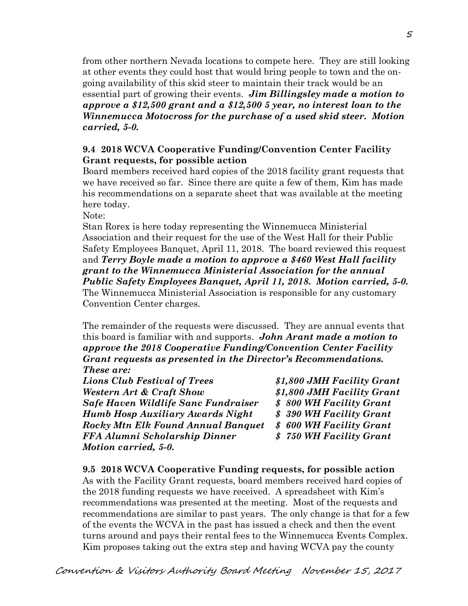from other northern Nevada locations to compete here. They are still looking at other events they could host that would bring people to town and the ongoing availability of this skid steer to maintain their track would be an essential part of growing their events. *Jim Billingsley made a motion to approve a \$12,500 grant and a \$12,500 5 year, no interest loan to the Winnemucca Motocross for the purchase of a used skid steer. Motion carried, 5-0.*

# **9.4 2018 WCVA Cooperative Funding/Convention Center Facility Grant requests, for possible action**

Board members received hard copies of the 2018 facility grant requests that we have received so far. Since there are quite a few of them, Kim has made his recommendations on a separate sheet that was available at the meeting here today.

Note:

Stan Rorex is here today representing the Winnemucca Ministerial Association and their request for the use of the West Hall for their Public Safety Employees Banquet, April 11, 2018. The board reviewed this request and *Terry Boyle made a motion to approve a \$460 West Hall facility grant to the Winnemucca Ministerial Association for the annual Public Safety Employees Banquet, April 11, 2018. Motion carried, 5-0.*  The Winnemucca Ministerial Association is responsible for any customary Convention Center charges.

The remainder of the requests were discussed. They are annual events that this board is familiar with and supports. *John Arant made a motion to approve the 2018 Cooperative Funding/Convention Center Facility Grant requests as presented in the Director's Recommendations. These are:* 

*Lions Club Festival of Trees \$1,800 JMH Facility Grant Western Art & Craft Show \$1,800 JMH Facility Grant Safe Haven Wildlife Sanc Fundraiser \$ 800 WH Facility Grant Humb Hosp Auxiliary Awards Night \$ 390 WH Facility Grant Rocky Mtn Elk Found Annual Banquet \$ 600 WH Facility Grant FFA Alumni Scholarship Dinner \$ 750 WH Facility Grant Motion carried, 5-0.*

**9.5 2018 WCVA Cooperative Funding requests, for possible action**  As with the Facility Grant requests, board members received hard copies of the 2018 funding requests we have received. A spreadsheet with Kim's recommendations was presented at the meeting. Most of the requests and recommendations are similar to past years. The only change is that for a few of the events the WCVA in the past has issued a check and then the event turns around and pays their rental fees to the Winnemucca Events Complex. Kim proposes taking out the extra step and having WCVA pay the county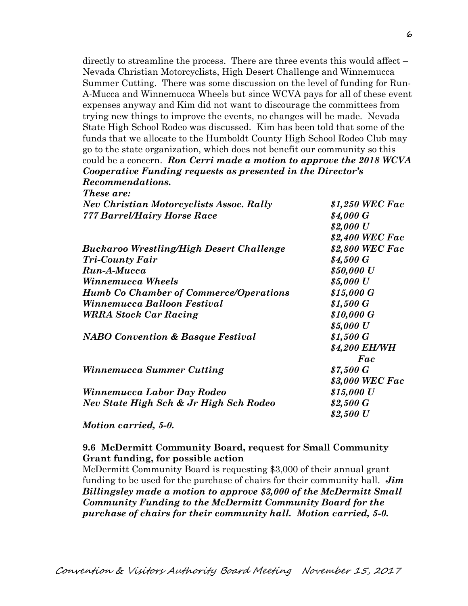directly to streamline the process. There are three events this would affect – Nevada Christian Motorcyclists, High Desert Challenge and Winnemucca Summer Cutting. There was some discussion on the level of funding for Run-A-Mucca and Winnemucca Wheels but since WCVA pays for all of these event expenses anyway and Kim did not want to discourage the committees from trying new things to improve the events, no changes will be made. Nevada State High School Rodeo was discussed. Kim has been told that some of the funds that we allocate to the Humboldt County High School Rodeo Club may go to the state organization, which does not benefit our community so this could be a concern. *Ron Cerri made a motion to approve the 2018 WCVA Cooperative Funding requests as presented in the Director's Recommendations.* 

| <i>These are:</i>                               |                 |
|-------------------------------------------------|-----------------|
| <b>Nev Christian Motorcyclists Assoc. Rally</b> | \$1,250 WEC Fac |
| <b>777 Barrel/Hairy Horse Race</b>              | \$4,000 G       |
|                                                 | \$2,000 U       |
|                                                 | \$2,400 WEC Fac |
| Buckaroo Wrestling/High Desert Challenge        | \$2,800 WEC Fac |
| <b>Tri-County Fair</b>                          | \$4,500 G       |
| Run-A-Mucca                                     | \$50,000 U      |
| Winnemucca Wheels                               | \$5,000 U       |
| <b>Humb Co Chamber of Commerce/Operations</b>   | \$15,000 G      |
| Winnemucca Balloon Festival                     | \$1,500 G       |
| <b>WRRA Stock Car Racing</b>                    | \$10,000 G      |
|                                                 | \$5,000 U       |
| <b>NABO Convention &amp; Basque Festival</b>    | \$1,500 G       |
|                                                 | \$4,200 EH/WH   |
|                                                 | Fac             |
| Winnemucca Summer Cutting                       | \$7,500 G       |
|                                                 | \$3,000 WEC Fac |
| Winnemucca Labor Day Rodeo                      | \$15,000 U      |
| Nev State High Sch & Jr High Sch Rodeo          | \$2,500 G       |
|                                                 | \$2,500 U       |
| $\cdot$ $\cdot$ $\sim$ $\sim$<br><b>Breat</b>   |                 |

## *Motion carried, 5-0.*

## **9.6 McDermitt Community Board, request for Small Community Grant funding, for possible action**

McDermitt Community Board is requesting \$3,000 of their annual grant funding to be used for the purchase of chairs for their community hall. *Jim Billingsley made a motion to approve \$3,000 of the McDermitt Small Community Funding to the McDermitt Community Board for the purchase of chairs for their community hall. Motion carried, 5-0.*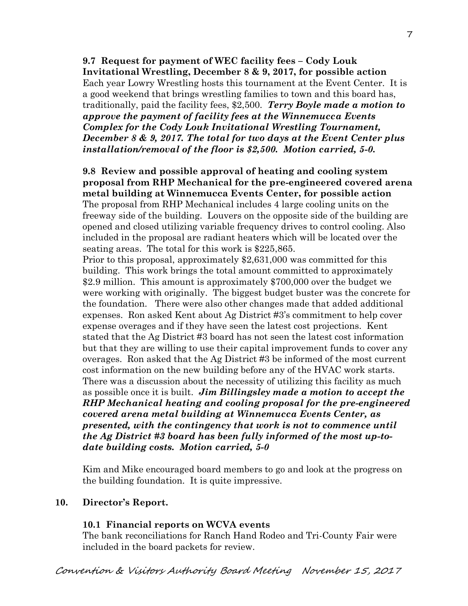**9.7 Request for payment of WEC facility fees – Cody Louk Invitational Wrestling, December 8 & 9, 2017, for possible action**  Each year Lowry Wrestling hosts this tournament at the Event Center. It is a good weekend that brings wrestling families to town and this board has, traditionally, paid the facility fees, \$2,500. *Terry Boyle made a motion to approve the payment of facility fees at the Winnemucca Events Complex for the Cody Louk Invitational Wrestling Tournament, December 8 & 9, 2017. The total for two days at the Event Center plus installation/removal of the floor is \$2,500. Motion carried, 5-0.* 

# **9.8 Review and possible approval of heating and cooling system proposal from RHP Mechanical for the pre-engineered covered arena metal building at Winnemucca Events Center, for possible action**  The proposal from RHP Mechanical includes 4 large cooling units on the freeway side of the building. Louvers on the opposite side of the building are

opened and closed utilizing variable frequency drives to control cooling. Also included in the proposal are radiant heaters which will be located over the seating areas. The total for this work is \$225,865.

Prior to this proposal, approximately \$2,631,000 was committed for this building. This work brings the total amount committed to approximately \$2.9 million. This amount is approximately \$700,000 over the budget we were working with originally. The biggest budget buster was the concrete for the foundation. There were also other changes made that added additional expenses. Ron asked Kent about Ag District #3's commitment to help cover expense overages and if they have seen the latest cost projections. Kent stated that the Ag District #3 board has not seen the latest cost information but that they are willing to use their capital improvement funds to cover any overages. Ron asked that the Ag District #3 be informed of the most current cost information on the new building before any of the HVAC work starts. There was a discussion about the necessity of utilizing this facility as much as possible once it is built. *Jim Billingsley made a motion to accept the RHP Mechanical heating and cooling proposal for the pre-engineered covered arena metal building at Winnemucca Events Center, as presented, with the contingency that work is not to commence until the Ag District #3 board has been fully informed of the most up-todate building costs. Motion carried, 5-0*

Kim and Mike encouraged board members to go and look at the progress on the building foundation. It is quite impressive.

# **10. Director's Report.**

# **10.1 Financial reports on WCVA events**

The bank reconciliations for Ranch Hand Rodeo and Tri-County Fair were included in the board packets for review.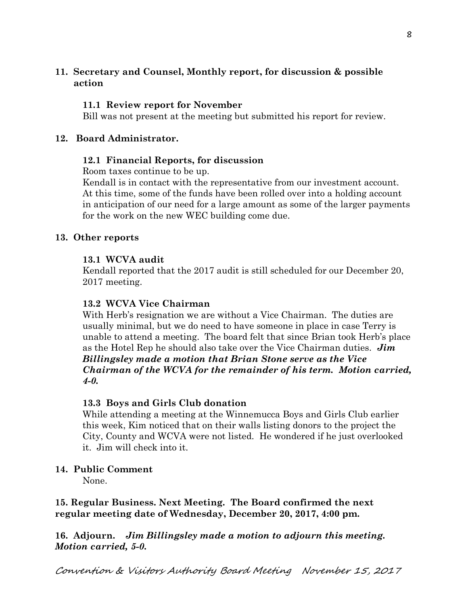# **11. Secretary and Counsel, Monthly report, for discussion & possible action**

## **11.1 Review report for November**

Bill was not present at the meeting but submitted his report for review.

## **12. Board Administrator.**

## **12.1 Financial Reports, for discussion**

Room taxes continue to be up.

Kendall is in contact with the representative from our investment account. At this time, some of the funds have been rolled over into a holding account in anticipation of our need for a large amount as some of the larger payments for the work on the new WEC building come due.

## **13. Other reports**

## **13.1 WCVA audit**

Kendall reported that the 2017 audit is still scheduled for our December 20, 2017 meeting.

## **13.2 WCVA Vice Chairman**

With Herb's resignation we are without a Vice Chairman. The duties are usually minimal, but we do need to have someone in place in case Terry is unable to attend a meeting. The board felt that since Brian took Herb's place as the Hotel Rep he should also take over the Vice Chairman duties. *Jim Billingsley made a motion that Brian Stone serve as the Vice Chairman of the WCVA for the remainder of his term. Motion carried, 4-0.* 

# **13.3 Boys and Girls Club donation**

While attending a meeting at the Winnemucca Boys and Girls Club earlier this week, Kim noticed that on their walls listing donors to the project the City, County and WCVA were not listed. He wondered if he just overlooked it. Jim will check into it.

# **14. Public Comment**

None.

**15. Regular Business. Next Meeting. The Board confirmed the next regular meeting date of Wednesday, December 20, 2017, 4:00 pm.** 

**16. Adjourn.** *Jim Billingsley made a motion to adjourn this meeting. Motion carried, 5-0.*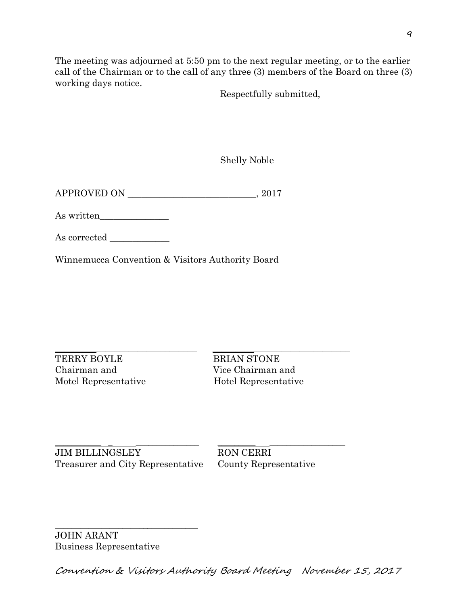The meeting was adjourned at 5:50 pm to the next regular meeting, or to the earlier call of the Chairman or to the call of any three (3) members of the Board on three (3) working days notice.

Respectfully submitted,

Shelly Noble

APPROVED ON \_\_\_\_\_\_\_\_\_\_\_\_\_\_\_\_\_\_\_\_\_\_\_\_\_\_\_\_, 2017

As written\_\_\_\_\_\_\_\_\_\_\_\_\_\_\_

As corrected

Winnemucca Convention & Visitors Authority Board

TERRY BOYLE BRIAN STONE Chairman and Vice Chairman and Motel Representative Hotel Representative

 $\_$  ,  $\_$  ,  $\_$  ,  $\_$  ,  $\_$  ,  $\_$  ,  $\_$  ,  $\_$  ,  $\_$  ,  $\_$  ,  $\_$  ,  $\_$  ,  $\_$  ,  $\_$  ,  $\_$  ,  $\_$  ,  $\_$  ,  $\_$  ,  $\_$  ,  $\_$  ,  $\_$  ,  $\_$  ,  $\_$  ,  $\_$  ,  $\_$  ,  $\_$  ,  $\_$  ,  $\_$  ,  $\_$  ,  $\_$  ,  $\_$  ,  $\_$  ,  $\_$  ,  $\_$  ,  $\_$  ,  $\_$  ,  $\_$  ,

\_\_\_\_\_\_\_\_\_\_\_ \_ \_\_\_\_\_\_\_\_\_\_\_\_\_\_\_ \_\_\_\_\_\_\_\_\_ \_\_\_\_\_\_\_\_\_\_\_\_\_\_\_\_\_\_ JIM BILLINGSLEY RON CERRI Treasurer and City Representative County Representative

\_\_\_\_\_\_\_\_\_\_\_\_\_\_\_\_\_\_\_\_\_\_\_\_\_\_\_\_\_\_\_\_\_\_

JOHN ARANT Business Representative